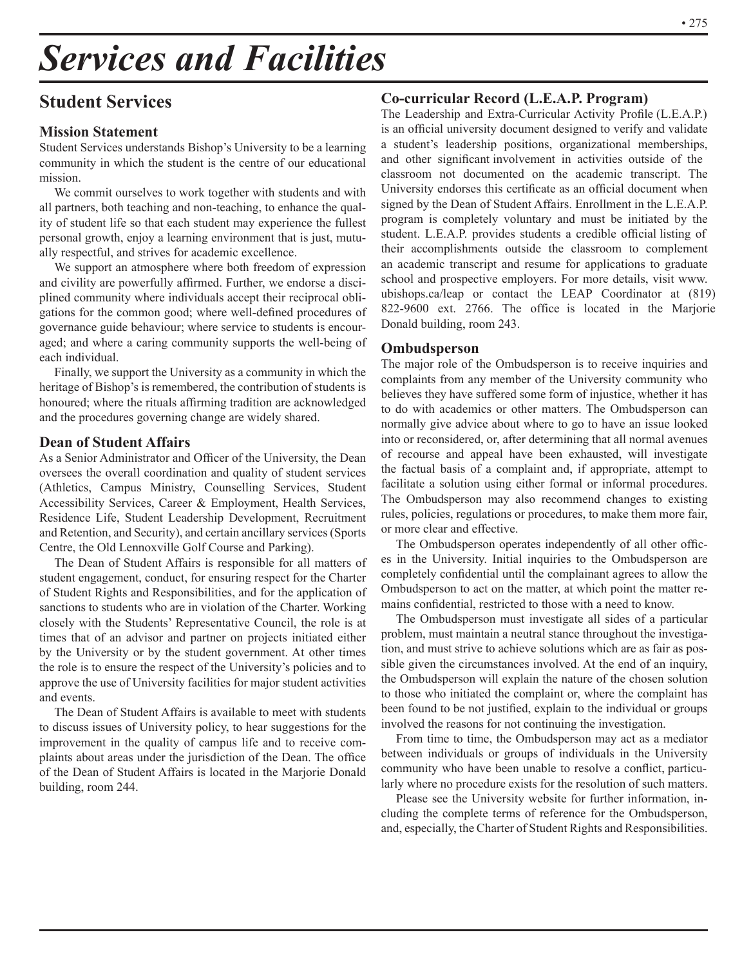# *Services and Facilities*

# **Student Services**

# **Mission Statement**

Student Services understands Bishop's University to be a learning community in which the student is the centre of our educational mission.

We commit ourselves to work together with students and with all partners, both teaching and non-teaching, to enhance the quality of student life so that each student may experience the fullest personal growth, enjoy a learning environment that is just, mutually respectful, and strives for academic excellence.

We support an atmosphere where both freedom of expression and civility are powerfully affirmed. Further, we endorse a disciplined community where individuals accept their reciprocal obligations for the common good; where well-defined procedures of governance guide behaviour; where service to students is encouraged; and where a caring community supports the well-being of each individual.

Finally, we support the University as a community in which the heritage of Bishop's is remembered, the contribution of students is honoured; where the rituals affirming tradition are acknowledged and the procedures governing change are widely shared.

#### **Dean of Student Affairs**

As a Senior Administrator and Officer of the University, the Dean oversees the overall coordination and quality of student services (Athletics, Campus Ministry, Counselling Services, Student Accessibility Services, Career & Employment, Health Services, Residence Life, Student Leadership Development, Recruitment and Retention, and Security), and certain ancillary services (Sports Centre, the Old Lennoxville Golf Course and Parking).

The Dean of Student Affairs is responsible for all matters of student engagement, conduct, for ensuring respect for the Charter of Student Rights and Responsibilities, and for the application of sanctions to students who are in violation of the Charter. Working closely with the Students' Representative Council, the role is at times that of an advisor and partner on projects initiated either by the University or by the student government. At other times the role is to ensure the respect of the University's policies and to approve the use of University facilities for major student activities and events.

The Dean of Student Affairs is available to meet with students to discuss issues of University policy, to hear suggestions for the improvement in the quality of campus life and to receive complaints about areas under the jurisdiction of the Dean. The office of the Dean of Student Affairs is located in the Marjorie Donald building, room 244.

# **Co-curricular Record (L.E.A.P. Program)**

The Leadership and Extra-Curricular Activity Profile (L.E.A.P.) is an official university document designed to verify and validate a student's leadership positions, organizational memberships, and other significant involvement in activities outside of the classroom not documented on the academic transcript. The University endorses this certificate as an official document when signed by the Dean of Student Affairs. Enrollment in the L.E.A.P. program is completely voluntary and must be initiated by the student. L.E.A.P. provides students a credible official listing of their accomplishments outside the classroom to complement an academic transcript and resume for applications to graduate school and prospective employers. For more details, visit www. ubishops.ca/leap or contact the LEAP Coordinator at (819) 822-9600 ext. 2766. The office is located in the Marjorie Donald building, room 243.

#### **Ombudsperson**

The major role of the Ombudsperson is to receive inquiries and complaints from any member of the University community who believes they have suffered some form of injustice, whether it has to do with academics or other matters. The Ombudsperson can normally give advice about where to go to have an issue looked into or reconsidered, or, after determining that all normal avenues of recourse and appeal have been exhausted, will investigate the factual basis of a complaint and, if appropriate, attempt to facilitate a solution using either formal or informal procedures. The Ombudsperson may also recommend changes to existing rules, policies, regulations or procedures, to make them more fair, or more clear and effective.

The Ombudsperson operates independently of all other offices in the University. Initial inquiries to the Ombudsperson are completely confidential until the complainant agrees to allow the Ombudsperson to act on the matter, at which point the matter remains confidential, restricted to those with a need to know.

The Ombudsperson must investigate all sides of a particular problem, must maintain a neutral stance throughout the investigation, and must strive to achieve solutions which are as fair as possible given the circumstances involved. At the end of an inquiry, the Ombudsperson will explain the nature of the chosen solution to those who initiated the complaint or, where the complaint has been found to be not justified, explain to the individual or groups involved the reasons for not continuing the investigation.

From time to time, the Ombudsperson may act as a mediator between individuals or groups of individuals in the University community who have been unable to resolve a conflict, particularly where no procedure exists for the resolution of such matters.

Please see the University website for further information, including the complete terms of reference for the Ombudsperson, and, especially, the Charter of Student Rights and Responsibilities.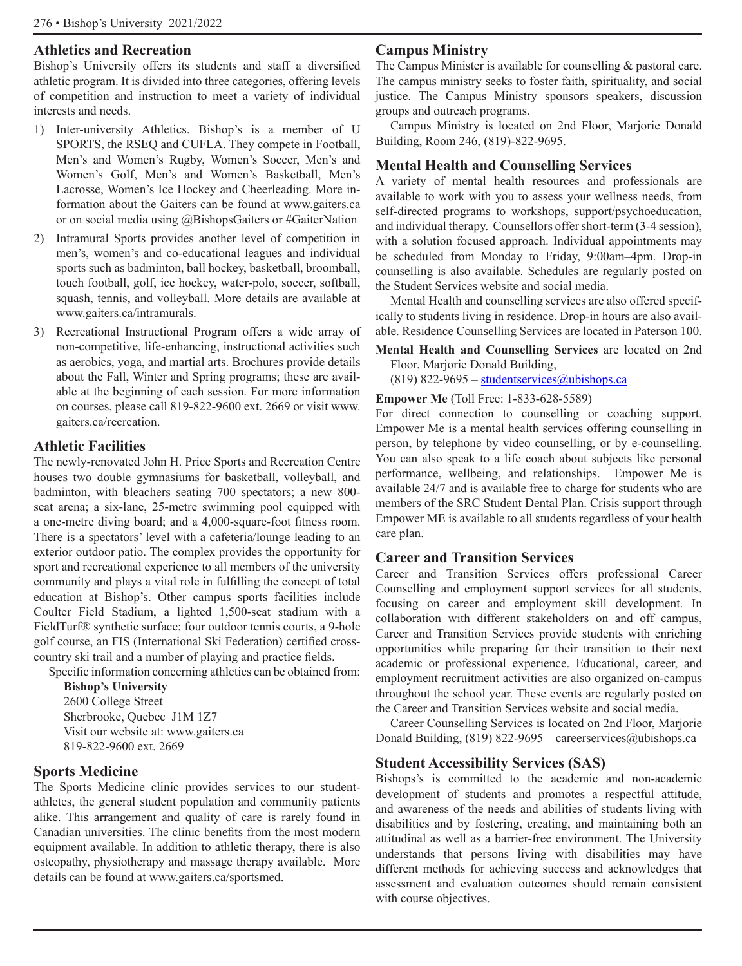#### **Athletics and Recreation**

Bishop's University offers its students and staff a diversified athletic program. It is divided into three categories, offering levels of competition and instruction to meet a variety of individual interests and needs.

- 1) Inter-university Athletics. Bishop's is a member of U SPORTS, the RSEQ and CUFLA. They compete in Football, Men's and Women's Rugby, Women's Soccer, Men's and Women's Golf, Men's and Women's Basketball, Men's Lacrosse, Women's Ice Hockey and Cheerleading. More information about the Gaiters can be found at www.gaiters.ca or on social media using @BishopsGaiters or #GaiterNation
- 2) Intramural Sports provides another level of competition in men's, women's and co-educational leagues and individual sports such as badminton, ball hockey, basketball, broomball, touch football, golf, ice hockey, water-polo, soccer, softball, squash, tennis, and volleyball. More details are available at www.gaiters.ca/intramurals.
- 3) Recreational Instructional Program offers a wide array of non-competitive, life-enhancing, instructional activities such as aerobics, yoga, and martial arts. Brochures provide details about the Fall, Winter and Spring programs; these are available at the beginning of each session. For more information on courses, please call 819-822-9600 ext. 2669 or visit www. gaiters.ca/recreation.

#### **Athletic Facilities**

The newly-renovated John H. Price Sports and Recreation Centre houses two double gymnasiums for basketball, volleyball, and badminton, with bleachers seating 700 spectators; a new 800 seat arena; a six-lane, 25-metre swimming pool equipped with a one-metre diving board; and a 4,000-square-foot fitness room. There is a spectators' level with a cafeteria/lounge leading to an exterior outdoor patio. The complex provides the opportunity for sport and recreational experience to all members of the university community and plays a vital role in fulfilling the concept of total education at Bishop's. Other campus sports facilities include Coulter Field Stadium, a lighted 1,500-seat stadium with a FieldTurf® synthetic surface; four outdoor tennis courts, a 9-hole golf course, an FIS (International Ski Federation) certified crosscountry ski trail and a number of playing and practice fields.

Specific information concerning athletics can be obtained from:

**Bishop's University** 2600 College Street Sherbrooke, Quebec J1M 1Z7 Visit our website at: www.gaiters.ca 819-822-9600 ext. 2669

# **Sports Medicine**

The Sports Medicine clinic provides services to our studentathletes, the general student population and community patients alike. This arrangement and quality of care is rarely found in Canadian universities. The clinic benefits from the most modern equipment available. In addition to athletic therapy, there is also osteopathy, physiotherapy and massage therapy available. More details can be found at www.gaiters.ca/sportsmed.

## **Campus Ministry**

The Campus Minister is available for counselling & pastoral care. The campus ministry seeks to foster faith, spirituality, and social justice. The Campus Ministry sponsors speakers, discussion groups and outreach programs.

Campus Ministry is located on 2nd Floor, Marjorie Donald Building, Room 246, (819)-822-9695.

#### **Mental Health and Counselling Services**

A variety of mental health resources and professionals are available to work with you to assess your wellness needs, from self-directed programs to workshops, support/psychoeducation, and individual therapy. Counsellors offer short-term (3-4 session), with a solution focused approach. Individual appointments may be scheduled from Monday to Friday, 9:00am–4pm. Drop-in counselling is also available. Schedules are regularly posted on the Student Services website and social media.

Mental Health and counselling services are also offered specifically to students living in residence. Drop-in hours are also available. Residence Counselling Services are located in Paterson 100.

**Mental Health and Counselling Services** are located on 2nd Floor, Marjorie Donald Building,

(819) 822-9695 – studentservices $(a)$ ubishops.ca

#### **Empower Me** (Toll Free: 1-833-628-5589)

For direct connection to counselling or coaching support. Empower Me is a mental health services offering counselling in person, by telephone by video counselling, or by e-counselling. You can also speak to a life coach about subjects like personal performance, wellbeing, and relationships. Empower Me is available 24/7 and is available free to charge for students who are members of the SRC Student Dental Plan. Crisis support through Empower ME is available to all students regardless of your health care plan.

#### **Career and Transition Services**

Career and Transition Services offers professional Career Counselling and employment support services for all students, focusing on career and employment skill development. In collaboration with different stakeholders on and off campus, Career and Transition Services provide students with enriching opportunities while preparing for their transition to their next academic or professional experience. Educational, career, and employment recruitment activities are also organized on-campus throughout the school year. These events are regularly posted on the Career and Transition Services website and social media.

Career Counselling Services is located on 2nd Floor, Marjorie Donald Building,  $(819)$  822-9695 – careerservices@ubishops.ca

#### **Student Accessibility Services (SAS)**

Bishops's is committed to the academic and non-academic development of students and promotes a respectful attitude, and awareness of the needs and abilities of students living with disabilities and by fostering, creating, and maintaining both an attitudinal as well as a barrier-free environment. The University understands that persons living with disabilities may have different methods for achieving success and acknowledges that assessment and evaluation outcomes should remain consistent with course objectives.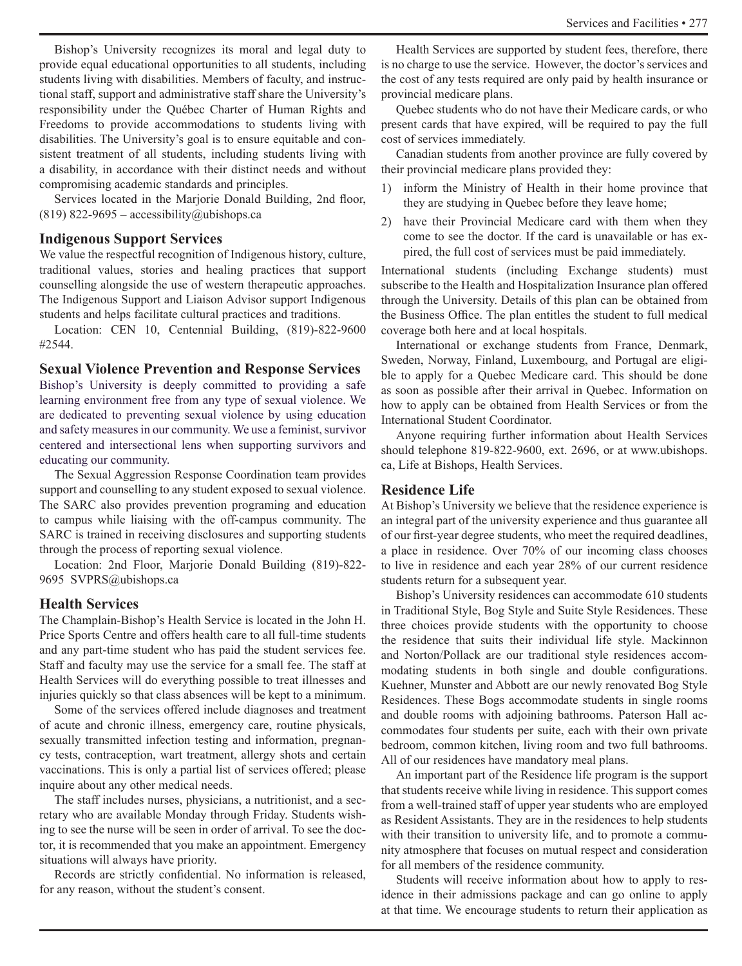Bishop's University recognizes its moral and legal duty to provide equal educational opportunities to all students, including students living with disabilities. Members of faculty, and instructional staff, support and administrative staff share the University's responsibility under the Québec Charter of Human Rights and Freedoms to provide accommodations to students living with disabilities. The University's goal is to ensure equitable and consistent treatment of all students, including students living with a disability, in accordance with their distinct needs and without compromising academic standards and principles.

Services located in the Marjorie Donald Building, 2nd floor, (819) 822-9695 – accessibility@ubishops.ca

#### **Indigenous Support Services**

We value the respectful recognition of Indigenous history, culture, traditional values, stories and healing practices that support counselling alongside the use of western therapeutic approaches. The Indigenous Support and Liaison Advisor support Indigenous students and helps facilitate cultural practices and traditions.

Location: CEN 10, Centennial Building, (819)-822-9600 #2544.

#### **Sexual Violence Prevention and Response Services**

Bishop's University is deeply committed to providing a safe learning environment free from any type of sexual violence. We are dedicated to preventing sexual violence by using education and safety measures in our community. We use a feminist, survivor centered and intersectional lens when supporting survivors and educating our community.

The Sexual Aggression Response Coordination team provides support and counselling to any student exposed to sexual violence. The SARC also provides prevention programing and education to campus while liaising with the off-campus community. The SARC is trained in receiving disclosures and supporting students through the process of reporting sexual violence.

Location: 2nd Floor, Marjorie Donald Building (819)-822- 9695 SVPRS@ubishops.ca

#### **Health Services**

The Champlain-Bishop's Health Service is located in the John H. Price Sports Centre and offers health care to all full-time students and any part-time student who has paid the student services fee. Staff and faculty may use the service for a small fee. The staff at Health Services will do everything possible to treat illnesses and injuries quickly so that class absences will be kept to a minimum.

Some of the services offered include diagnoses and treatment of acute and chronic illness, emergency care, routine physicals, sexually transmitted infection testing and information, pregnancy tests, contraception, wart treatment, allergy shots and certain vaccinations. This is only a partial list of services offered; please inquire about any other medical needs.

The staff includes nurses, physicians, a nutritionist, and a secretary who are available Monday through Friday. Students wishing to see the nurse will be seen in order of arrival. To see the doctor, it is recommended that you make an appointment. Emergency situations will always have priority.

Records are strictly confidential. No information is released, for any reason, without the student's consent.

Health Services are supported by student fees, therefore, there is no charge to use the service. However, the doctor's services and the cost of any tests required are only paid by health insurance or provincial medicare plans.

Quebec students who do not have their Medicare cards, or who present cards that have expired, will be required to pay the full cost of services immediately.

Canadian students from another province are fully covered by their provincial medicare plans provided they:

- 1) inform the Ministry of Health in their home province that they are studying in Quebec before they leave home;
- 2) have their Provincial Medicare card with them when they come to see the doctor. If the card is unavailable or has expired, the full cost of services must be paid immediately.

International students (including Exchange students) must subscribe to the Health and Hospitalization Insurance plan offered through the University. Details of this plan can be obtained from the Business Office. The plan entitles the student to full medical coverage both here and at local hospitals.

International or exchange students from France, Denmark, Sweden, Norway, Finland, Luxembourg, and Portugal are eligible to apply for a Quebec Medicare card. This should be done as soon as possible after their arrival in Quebec. Information on how to apply can be obtained from Health Services or from the International Student Coordinator.

Anyone requiring further information about Health Services should telephone 819-822-9600, ext. 2696, or at www.ubishops. ca, Life at Bishops, Health Services.

#### **Residence Life**

At Bishop's University we believe that the residence experience is an integral part of the university experience and thus guarantee all of our first-year degree students, who meet the required deadlines, a place in residence. Over 70% of our incoming class chooses to live in residence and each year 28% of our current residence students return for a subsequent year.

Bishop's University residences can accommodate 610 students in Traditional Style, Bog Style and Suite Style Residences. These three choices provide students with the opportunity to choose the residence that suits their individual life style. Mackinnon and Norton/Pollack are our traditional style residences accommodating students in both single and double configurations. Kuehner, Munster and Abbott are our newly renovated Bog Style Residences. These Bogs accommodate students in single rooms and double rooms with adjoining bathrooms. Paterson Hall accommodates four students per suite, each with their own private bedroom, common kitchen, living room and two full bathrooms. All of our residences have mandatory meal plans.

An important part of the Residence life program is the support that students receive while living in residence. This support comes from a well-trained staff of upper year students who are employed as Resident Assistants. They are in the residences to help students with their transition to university life, and to promote a community atmosphere that focuses on mutual respect and consideration for all members of the residence community.

Students will receive information about how to apply to residence in their admissions package and can go online to apply at that time. We encourage students to return their application as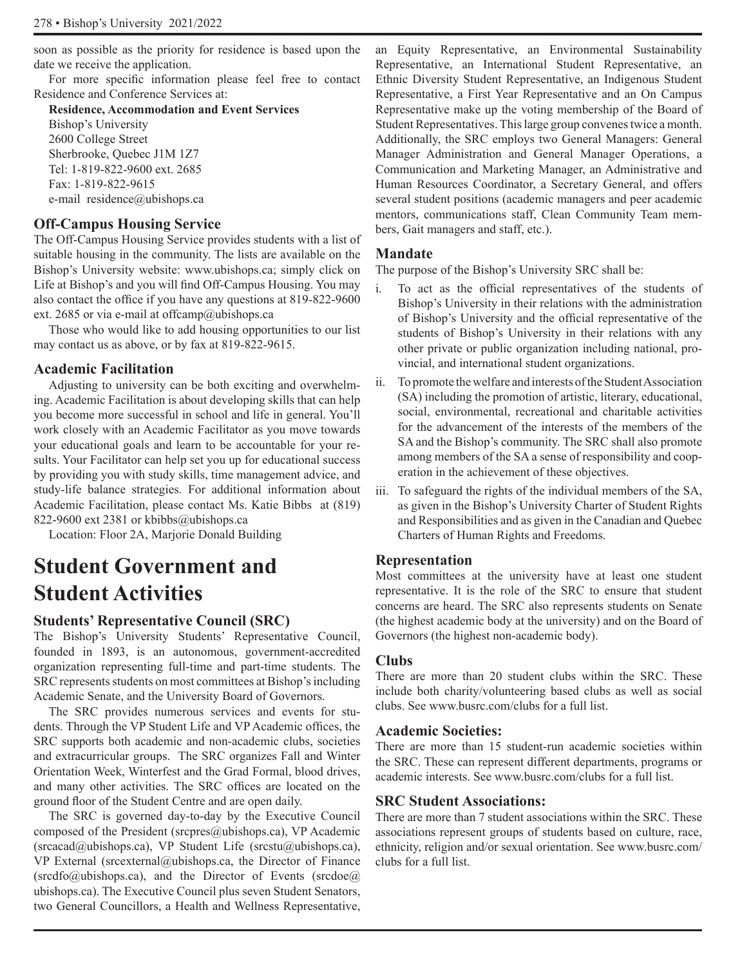soon as possible as the priority for residence is based upon the date we receive the application.

For more specific information please feel free to contact Residence and Conference Services at:

#### **Residence, Accommodation and Event Services**

Bishop's University 2600 College Street Sherbrooke, Quebec J1M 1Z7 Tel: 1-819-822-9600 ext. 2685 Fax: 1-819-822-9615 e-mail residence@ubishops.ca

# **Off-Campus Housing Service**

The Off-Campus Housing Service provides students with a list of suitable housing in the community. The lists are available on the Bishop's University website: www.ubishops.ca; simply click on Life at Bishop's and you will find Off-Campus Housing. You may also contact the office if you have any questions at 819-822-9600 ext. 2685 or via e-mail at offcamp@ubishops.ca

Those who would like to add housing opportunities to our list may contact us as above, or by fax at 819-822-9615.

# **Academic Facilitation**

Adjusting to university can be both exciting and overwhelming. Academic Facilitation is about developing skills that can help you become more successful in school and life in general. You'll work closely with an Academic Facilitator as you move towards your educational goals and learn to be accountable for your results. Your Facilitator can help set you up for educational success by providing you with study skills, time management advice, and study-life balance strategies. For additional information about Academic Facilitation, please contact Ms. Katie Bibbs at (819) 822-9600 ext 2381 or kbibbs@ubishops.ca

Location: Floor 2A, Marjorie Donald Building

# **Student Government and Student Activities**

# **Students' Representative Council (SRC)**

The Bishop's University Students' Representative Council, founded in 1893, is an autonomous, government-accredited organization representing full-time and part-time students. The SRC represents students on most committees at Bishop's including Academic Senate, and the University Board of Governors.

The SRC provides numerous services and events for students. Through the VP Student Life and VP Academic offices, the SRC supports both academic and non-academic clubs, societies and extracurricular groups. The SRC organizes Fall and Winter Orientation Week, Winterfest and the Grad Formal, blood drives, and many other activities. The SRC offices are located on the ground floor of the Student Centre and are open daily.

The SRC is governed day-to-day by the Executive Council composed of the President (srcpres@ubishops.ca), VP Academic  $(srcacad@ubishops.ca)$ , VP Student Life  $(srcstu@ubishops.ca)$ , VP External (srcexternal@ubishops.ca, the Director of Finance  $(srcdfo@ubishops.ca)$ , and the Director of Events  $(srcdoe@)$ ubishops.ca). The Executive Council plus seven Student Senators, two General Councillors, a Health and Wellness Representative, an Equity Representative, an Environmental Sustainability Representative, an International Student Representative, an Ethnic Diversity Student Representative, an Indigenous Student Representative, a First Year Representative and an On Campus Representative make up the voting membership of the Board of Student Representatives. This large group convenes twice a month. Additionally, the SRC employs two General Managers: General Manager Administration and General Manager Operations, a Communication and Marketing Manager, an Administrative and Human Resources Coordinator, a Secretary General, and offers several student positions (academic managers and peer academic mentors, communications staff, Clean Community Team members, Gait managers and staff, etc.).

# **Mandate**

The purpose of the Bishop's University SRC shall be:

- i. To act as the official representatives of the students of Bishop's University in their relations with the administration of Bishop's University and the official representative of the students of Bishop's University in their relations with any other private or public organization including national, provincial, and international student organizations.
- ii. To promote the welfare and interests of the Student Association (SA) including the promotion of artistic, literary, educational, social, environmental, recreational and charitable activities for the advancement of the interests of the members of the SA and the Bishop's community. The SRC shall also promote among members of the SA a sense of responsibility and cooperation in the achievement of these objectives.
- iii. To safeguard the rights of the individual members of the SA, as given in the Bishop's University Charter of Student Rights and Responsibilities and as given in the Canadian and Quebec Charters of Human Rights and Freedoms.

# **Representation**

Most committees at the university have at least one student representative. It is the role of the SRC to ensure that student concerns are heard. The SRC also represents students on Senate (the highest academic body at the university) and on the Board of Governors (the highest non-academic body).

#### **Clubs**

There are more than 20 student clubs within the SRC. These include both charity/volunteering based clubs as well as social clubs. See www.busrc.com/clubs for a full list.

# **Academic Societies:**

There are more than 15 student-run academic societies within the SRC. These can represent different departments, programs or academic interests. See www.busrc.com/clubs for a full list.

# **SRC Student Associations:**

There are more than 7 student associations within the SRC. These associations represent groups of students based on culture, race, ethnicity, religion and/or sexual orientation. See www.busrc.com/ clubs for a full list.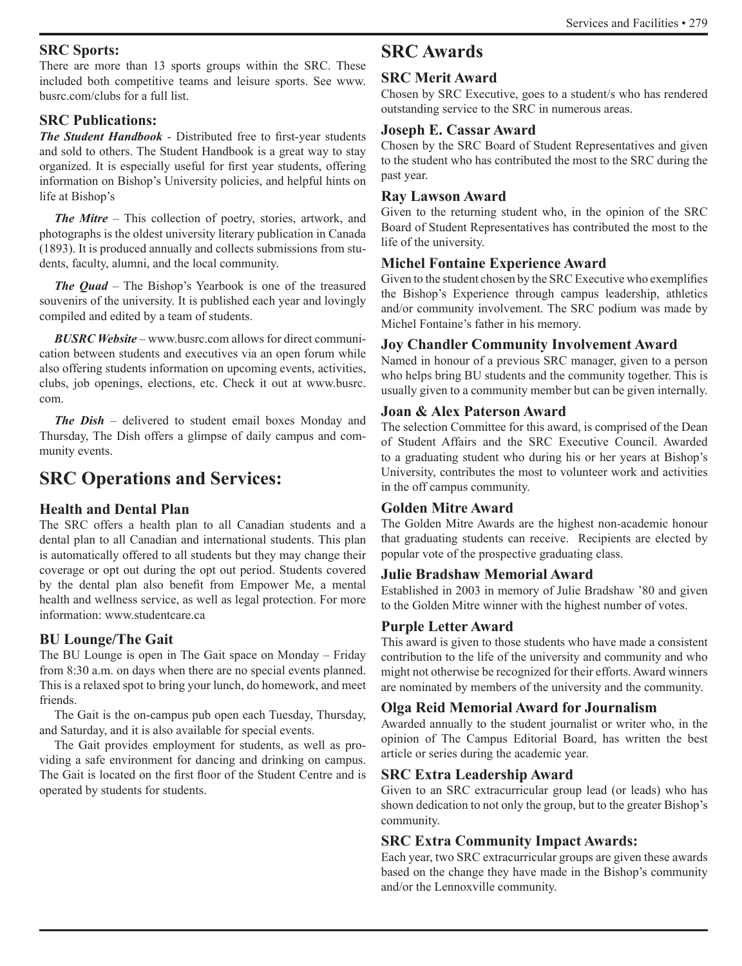#### **SRC Sports:**

There are more than 13 sports groups within the SRC. These included both competitive teams and leisure sports. See www. busrc.com/clubs for a full list.

# **SRC Publications:**

*The Student Handbook* - Distributed free to first-year students and sold to others. The Student Handbook is a great way to stay organized. It is especially useful for first year students, offering information on Bishop's University policies, and helpful hints on life at Bishop's

*The Mitre* – This collection of poetry, stories, artwork, and photographs is the oldest university literary publication in Canada (1893). It is produced annually and collects submissions from students, faculty, alumni, and the local community.

*The Quad* – The Bishop's Yearbook is one of the treasured souvenirs of the university. It is published each year and lovingly compiled and edited by a team of students.

*BUSRC Website* – www.busrc.com allows for direct communication between students and executives via an open forum while also offering students information on upcoming events, activities, clubs, job openings, elections, etc. Check it out at www.busrc. com.

*The Dish* – delivered to student email boxes Monday and Thursday, The Dish offers a glimpse of daily campus and community events.

# **SRC Operations and Services:**

# **Health and Dental Plan**

The SRC offers a health plan to all Canadian students and a dental plan to all Canadian and international students. This plan is automatically offered to all students but they may change their coverage or opt out during the opt out period. Students covered by the dental plan also benefit from Empower Me, a mental health and wellness service, as well as legal protection. For more information: www.studentcare.ca

# **BU Lounge/The Gait**

The BU Lounge is open in The Gait space on Monday – Friday from 8:30 a.m. on days when there are no special events planned. This is a relaxed spot to bring your lunch, do homework, and meet friends.

The Gait is the on-campus pub open each Tuesday, Thursday, and Saturday, and it is also available for special events.

The Gait provides employment for students, as well as providing a safe environment for dancing and drinking on campus. The Gait is located on the first floor of the Student Centre and is operated by students for students.

# **SRC Awards**

# **SRC Merit Award**

Chosen by SRC Executive, goes to a student/s who has rendered outstanding service to the SRC in numerous areas.

# **Joseph E. Cassar Award**

Chosen by the SRC Board of Student Representatives and given to the student who has contributed the most to the SRC during the past year.

# **Ray Lawson Award**

Given to the returning student who, in the opinion of the SRC Board of Student Representatives has contributed the most to the life of the university.

# **Michel Fontaine Experience Award**

Given to the student chosen by the SRC Executive who exemplifies the Bishop's Experience through campus leadership, athletics and/or community involvement. The SRC podium was made by Michel Fontaine's father in his memory.

# **Joy Chandler Community Involvement Award**

Named in honour of a previous SRC manager, given to a person who helps bring BU students and the community together. This is usually given to a community member but can be given internally.

# **Joan & Alex Paterson Award**

The selection Committee for this award, is comprised of the Dean of Student Affairs and the SRC Executive Council. Awarded to a graduating student who during his or her years at Bishop's University, contributes the most to volunteer work and activities in the off campus community.

# **Golden Mitre Award**

The Golden Mitre Awards are the highest non-academic honour that graduating students can receive. Recipients are elected by popular vote of the prospective graduating class.

# **Julie Bradshaw Memorial Award**

Established in 2003 in memory of Julie Bradshaw '80 and given to the Golden Mitre winner with the highest number of votes.

# **Purple Letter Award**

This award is given to those students who have made a consistent contribution to the life of the university and community and who might not otherwise be recognized for their efforts. Award winners are nominated by members of the university and the community.

# **Olga Reid Memorial Award for Journalism**

Awarded annually to the student journalist or writer who, in the opinion of The Campus Editorial Board, has written the best article or series during the academic year.

# **SRC Extra Leadership Award**

Given to an SRC extracurricular group lead (or leads) who has shown dedication to not only the group, but to the greater Bishop's community.

# **SRC Extra Community Impact Awards:**

Each year, two SRC extracurricular groups are given these awards based on the change they have made in the Bishop's community and/or the Lennoxville community.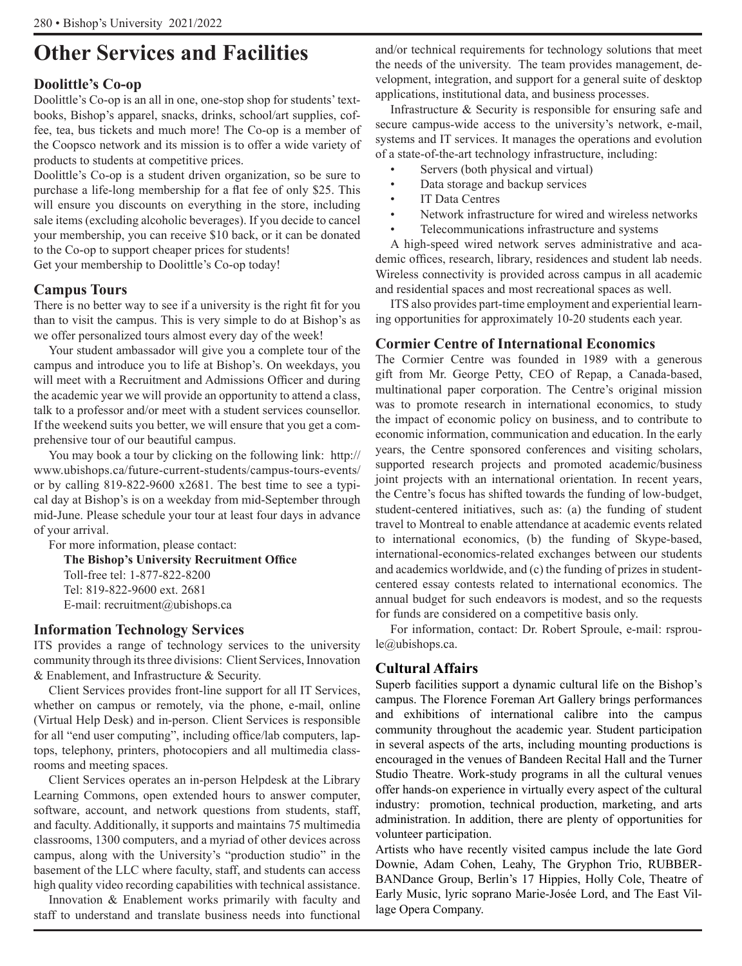# **Other Services and Facilities**

# **Doolittle's Co-op**

Doolittle's Co-op is an all in one, one-stop shop for students' textbooks, Bishop's apparel, snacks, drinks, school/art supplies, coffee, tea, bus tickets and much more! The Co-op is a member of the Coopsco network and its mission is to offer a wide variety of products to students at competitive prices.

Doolittle's Co-op is a student driven organization, so be sure to purchase a life-long membership for a flat fee of only \$25. This will ensure you discounts on everything in the store, including sale items (excluding alcoholic beverages). If you decide to cancel your membership, you can receive \$10 back, or it can be donated to the Co-op to support cheaper prices for students!

Get your membership to Doolittle's Co-op today!

# **Campus Tours**

There is no better way to see if a university is the right fit for you than to visit the campus. This is very simple to do at Bishop's as we offer personalized tours almost every day of the week!

Your student ambassador will give you a complete tour of the campus and introduce you to life at Bishop's. On weekdays, you will meet with a Recruitment and Admissions Officer and during the academic year we will provide an opportunity to attend a class, talk to a professor and/or meet with a student services counsellor. If the weekend suits you better, we will ensure that you get a comprehensive tour of our beautiful campus.

You may book a tour by clicking on the following link: http:// www.ubishops.ca/future-current-students/campus-tours-events/ or by calling 819-822-9600 x2681. The best time to see a typical day at Bishop's is on a weekday from mid-September through mid-June. Please schedule your tour at least four days in advance of your arrival.

For more information, please contact:

**The Bishop's University Recruitment Office** Toll-free tel: 1-877-822-8200 Tel: 819-822-9600 ext. 2681 E-mail: recruitment@ubishops.ca

# **Information Technology Services**

ITS provides a range of technology services to the university community through its three divisions: Client Services, Innovation & Enablement, and Infrastructure & Security.

Client Services provides front-line support for all IT Services, whether on campus or remotely, via the phone, e-mail, online (Virtual Help Desk) and in-person. Client Services is responsible for all "end user computing", including office/lab computers, laptops, telephony, printers, photocopiers and all multimedia classrooms and meeting spaces.

Client Services operates an in-person Helpdesk at the Library Learning Commons, open extended hours to answer computer, software, account, and network questions from students, staff, and faculty. Additionally, it supports and maintains 75 multimedia classrooms, 1300 computers, and a myriad of other devices across campus, along with the University's "production studio" in the basement of the LLC where faculty, staff, and students can access high quality video recording capabilities with technical assistance.

Innovation & Enablement works primarily with faculty and staff to understand and translate business needs into functional

and/or technical requirements for technology solutions that meet the needs of the university. The team provides management, development, integration, and support for a general suite of desktop applications, institutional data, and business processes.

Infrastructure & Security is responsible for ensuring safe and secure campus-wide access to the university's network, e-mail, systems and IT services. It manages the operations and evolution of a state-of-the-art technology infrastructure, including:

- Servers (both physical and virtual)
- Data storage and backup services
- IT Data Centres
- Network infrastructure for wired and wireless networks
- Telecommunications infrastructure and systems

A high-speed wired network serves administrative and academic offices, research, library, residences and student lab needs. Wireless connectivity is provided across campus in all academic and residential spaces and most recreational spaces as well.

ITS also provides part-time employment and experiential learning opportunities for approximately 10-20 students each year.

# **Cormier Centre of International Economics**

The Cormier Centre was founded in 1989 with a generous gift from Mr. George Petty, CEO of Repap, a Canada-based, multinational paper corporation. The Centre's original mission was to promote research in international economics, to study the impact of economic policy on business, and to contribute to economic information, communication and education. In the early years, the Centre sponsored conferences and visiting scholars, supported research projects and promoted academic/business joint projects with an international orientation. In recent years, the Centre's focus has shifted towards the funding of low-budget, student-centered initiatives, such as: (a) the funding of student travel to Montreal to enable attendance at academic events related to international economics, (b) the funding of Skype-based, international-economics-related exchanges between our students and academics worldwide, and (c) the funding of prizes in studentcentered essay contests related to international economics. The annual budget for such endeavors is modest, and so the requests for funds are considered on a competitive basis only.

For information, contact: Dr. Robert Sproule, e-mail: rsproule@ubishops.ca.

# **Cultural Affairs**

Superb facilities support a dynamic cultural life on the Bishop's campus. The Florence Foreman Art Gallery brings performances and exhibitions of international calibre into the campus community throughout the academic year. Student participation in several aspects of the arts, including mounting productions is encouraged in the venues of Bandeen Recital Hall and the Turner Studio Theatre. Work-study programs in all the cultural venues offer hands-on experience in virtually every aspect of the cultural industry: promotion, technical production, marketing, and arts administration. In addition, there are plenty of opportunities for volunteer participation.

Artists who have recently visited campus include the late Gord Downie, Adam Cohen, Leahy, The Gryphon Trio, RUBBER-BANDance Group, Berlin's 17 Hippies, Holly Cole, Theatre of Early Music, lyric soprano Marie-Josée Lord, and The East Village Opera Company.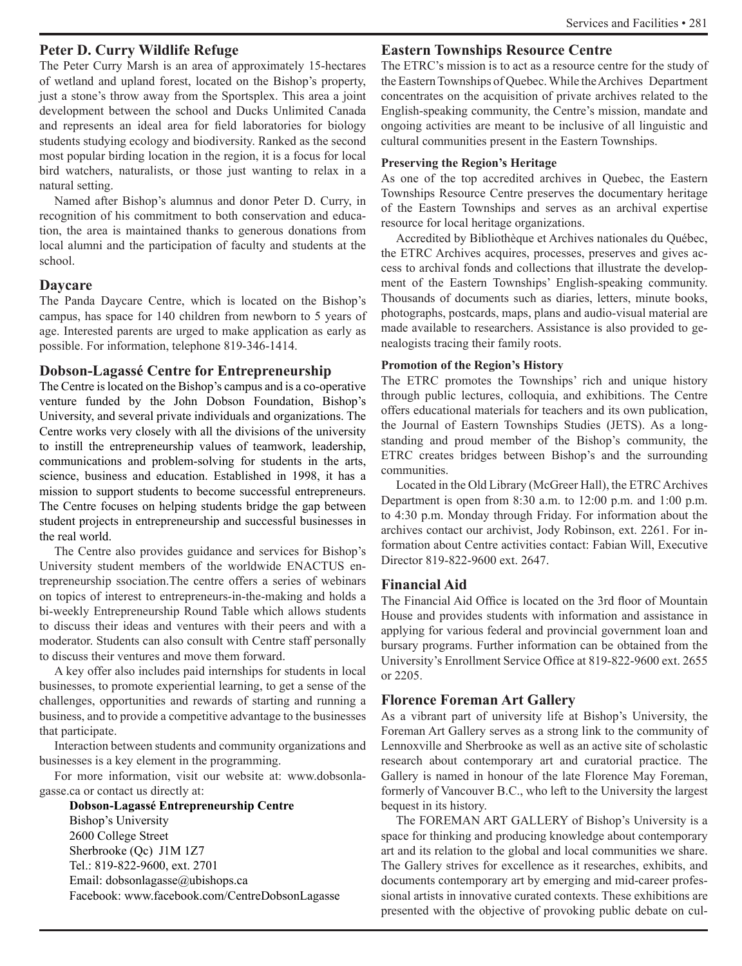#### **Peter D. Curry Wildlife Refuge**

The Peter Curry Marsh is an area of approximately 15-hectares of wetland and upland forest, located on the Bishop's property, just a stone's throw away from the Sportsplex. This area a joint development between the school and Ducks Unlimited Canada and represents an ideal area for field laboratories for biology students studying ecology and biodiversity. Ranked as the second most popular birding location in the region, it is a focus for local bird watchers, naturalists, or those just wanting to relax in a natural setting.

Named after Bishop's alumnus and donor Peter D. Curry, in recognition of his commitment to both conservation and education, the area is maintained thanks to generous donations from local alumni and the participation of faculty and students at the school.

#### **Daycare**

The Panda Daycare Centre, which is located on the Bishop's campus, has space for 140 children from newborn to 5 years of age. Interested parents are urged to make application as early as possible. For information, telephone 819-346-1414.

#### **Dobson-Lagassé Centre for Entrepreneurship**

The Centre is located on the Bishop's campus and is a co-operative venture funded by the John Dobson Foundation, Bishop's University, and several private individuals and organizations. The Centre works very closely with all the divisions of the university to instill the entrepreneurship values of teamwork, leadership, communications and problem-solving for students in the arts, science, business and education. Established in 1998, it has a mission to support students to become successful entrepreneurs. The Centre focuses on helping students bridge the gap between student projects in entrepreneurship and successful businesses in the real world.

The Centre also provides guidance and services for Bishop's University student members of the worldwide ENACTUS entrepreneurship ssociation.The centre offers a series of webinars on topics of interest to entrepreneurs-in-the-making and holds a bi-weekly Entrepreneurship Round Table which allows students to discuss their ideas and ventures with their peers and with a moderator. Students can also consult with Centre staff personally to discuss their ventures and move them forward.

A key offer also includes paid internships for students in local businesses, to promote experiential learning, to get a sense of the challenges, opportunities and rewards of starting and running a business, and to provide a competitive advantage to the businesses that participate.

Interaction between students and community organizations and businesses is a key element in the programming.

For more information, visit our website at: www.dobsonlagasse.ca or contact us directly at:

**Dobson-Lagassé Entrepreneurship Centre**  Bishop's University 2600 College Street Sherbrooke (Qc) J1M 1Z7 Tel.: 819-822-9600, ext. 2701 Email: dobsonlagasse@ubishops.ca Facebook: www.facebook.com/CentreDobsonLagasse

## **Eastern Townships Resource Centre**

The ETRC's mission is to act as a resource centre for the study of the Eastern Townships of Quebec. While the Archives Department concentrates on the acquisition of private archives related to the English-speaking community, the Centre's mission, mandate and ongoing activities are meant to be inclusive of all linguistic and cultural communities present in the Eastern Townships.

#### **Preserving the Region's Heritage**

As one of the top accredited archives in Quebec, the Eastern Townships Resource Centre preserves the documentary heritage of the Eastern Townships and serves as an archival expertise resource for local heritage organizations.

Accredited by Bibliothèque et Archives nationales du Québec, the ETRC Archives acquires, processes, preserves and gives access to archival fonds and collections that illustrate the development of the Eastern Townships' English-speaking community. Thousands of documents such as diaries, letters, minute books, photographs, postcards, maps, plans and audio-visual material are made available to researchers. Assistance is also provided to genealogists tracing their family roots.

#### **Promotion of the Region's History**

The ETRC promotes the Townships' rich and unique history through public lectures, colloquia, and exhibitions. The Centre offers educational materials for teachers and its own publication, the Journal of Eastern Townships Studies (JETS). As a longstanding and proud member of the Bishop's community, the ETRC creates bridges between Bishop's and the surrounding communities.

Located in the Old Library (McGreer Hall), the ETRC Archives Department is open from 8:30 a.m. to 12:00 p.m. and 1:00 p.m. to 4:30 p.m. Monday through Friday. For information about the archives contact our archivist, Jody Robinson, ext. 2261. For information about Centre activities contact: Fabian Will, Executive Director 819-822-9600 ext. 2647.

#### **Financial Aid**

The Financial Aid Office is located on the 3rd floor of Mountain House and provides students with information and assistance in applying for various federal and provincial government loan and bursary programs. Further information can be obtained from the University's Enrollment Service Office at 819-822-9600 ext. 2655 or 2205.

# **Florence Foreman Art Gallery**

As a vibrant part of university life at Bishop's University, the Foreman Art Gallery serves as a strong link to the community of Lennoxville and Sherbrooke as well as an active site of scholastic research about contemporary art and curatorial practice. The Gallery is named in honour of the late Florence May Foreman, formerly of Vancouver B.C., who left to the University the largest bequest in its history.

The FOREMAN ART GALLERY of Bishop's University is a space for thinking and producing knowledge about contemporary art and its relation to the global and local communities we share. The Gallery strives for excellence as it researches, exhibits, and documents contemporary art by emerging and mid-career professional artists in innovative curated contexts. These exhibitions are presented with the objective of provoking public debate on cul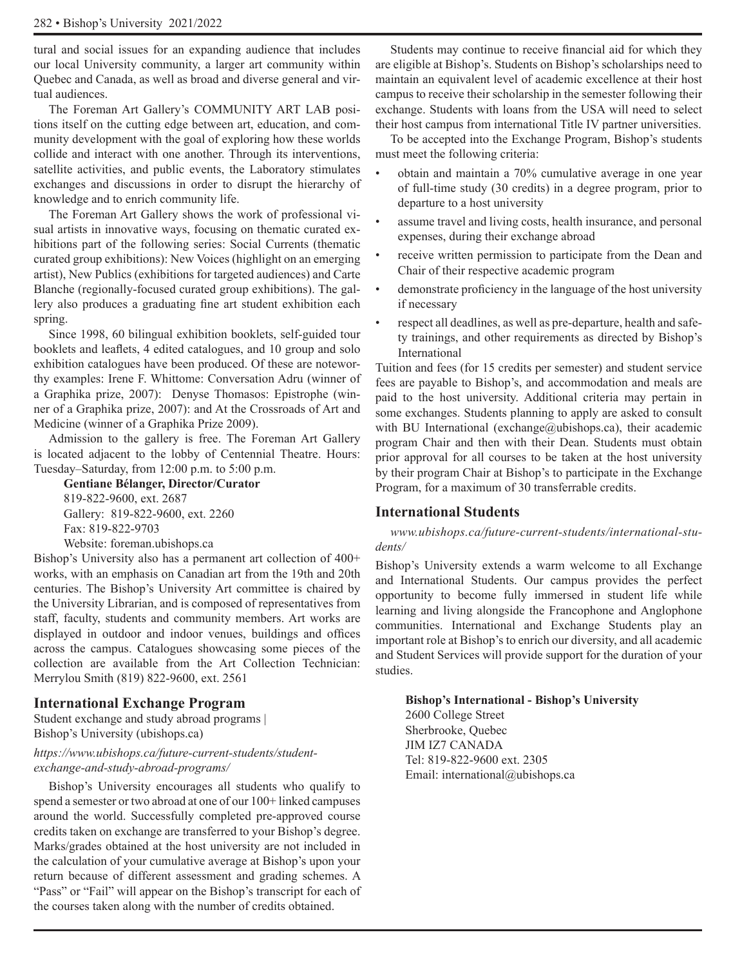tural and social issues for an expanding audience that includes our local University community, a larger art community within Quebec and Canada, as well as broad and diverse general and virtual audiences.

The Foreman Art Gallery's COMMUNITY ART LAB positions itself on the cutting edge between art, education, and community development with the goal of exploring how these worlds collide and interact with one another. Through its interventions, satellite activities, and public events, the Laboratory stimulates exchanges and discussions in order to disrupt the hierarchy of knowledge and to enrich community life.

The Foreman Art Gallery shows the work of professional visual artists in innovative ways, focusing on thematic curated exhibitions part of the following series: Social Currents (thematic curated group exhibitions): New Voices (highlight on an emerging artist), New Publics (exhibitions for targeted audiences) and Carte Blanche (regionally-focused curated group exhibitions). The gallery also produces a graduating fine art student exhibition each spring.

Since 1998, 60 bilingual exhibition booklets, self-guided tour booklets and leaflets, 4 edited catalogues, and 10 group and solo exhibition catalogues have been produced. Of these are noteworthy examples: Irene F. Whittome: Conversation Adru (winner of a Graphika prize, 2007): Denyse Thomasos: Epistrophe (winner of a Graphika prize, 2007): and At the Crossroads of Art and Medicine (winner of a Graphika Prize 2009).

Admission to the gallery is free. The Foreman Art Gallery is located adjacent to the lobby of Centennial Theatre. Hours: Tuesday–Saturday, from 12:00 p.m. to 5:00 p.m.

**Gentiane Bélanger, Director/Curator** 819-822-9600, ext. 2687 Gallery: 819-822-9600, ext. 2260 Fax: 819-822-9703 Website: foreman.ubishops.ca

Bishop's University also has a permanent art collection of 400+ works, with an emphasis on Canadian art from the 19th and 20th centuries. The Bishop's University Art committee is chaired by the University Librarian, and is composed of representatives from staff, faculty, students and community members. Art works are displayed in outdoor and indoor venues, buildings and offices across the campus. Catalogues showcasing some pieces of the collection are available from the Art Collection Technician: Merrylou Smith (819) 822-9600, ext. 2561

#### **International Exchange Program**

Student exchange and study abroad programs | Bishop's University (ubishops.ca)

#### *https://www.ubishops.ca/future-current-students/studentexchange-and-study-abroad-programs/*

Bishop's University encourages all students who qualify to spend a semester or two abroad at one of our 100+ linked campuses around the world. Successfully completed pre-approved course credits taken on exchange are transferred to your Bishop's degree. Marks/grades obtained at the host university are not included in the calculation of your cumulative average at Bishop's upon your return because of different assessment and grading schemes. A "Pass" or "Fail" will appear on the Bishop's transcript for each of the courses taken along with the number of credits obtained.

Students may continue to receive financial aid for which they are eligible at Bishop's. Students on Bishop's scholarships need to maintain an equivalent level of academic excellence at their host campus to receive their scholarship in the semester following their exchange. Students with loans from the USA will need to select their host campus from international Title IV partner universities.

To be accepted into the Exchange Program, Bishop's students must meet the following criteria:

- obtain and maintain a 70% cumulative average in one year of full-time study (30 credits) in a degree program, prior to departure to a host university
- assume travel and living costs, health insurance, and personal expenses, during their exchange abroad
- receive written permission to participate from the Dean and Chair of their respective academic program
- demonstrate proficiency in the language of the host university if necessary
- respect all deadlines, as well as pre-departure, health and safety trainings, and other requirements as directed by Bishop's International

Tuition and fees (for 15 credits per semester) and student service fees are payable to Bishop's, and accommodation and meals are paid to the host university. Additional criteria may pertain in some exchanges. Students planning to apply are asked to consult with BU International (exchange@ubishops.ca), their academic program Chair and then with their Dean. Students must obtain prior approval for all courses to be taken at the host university by their program Chair at Bishop's to participate in the Exchange Program, for a maximum of 30 transferrable credits.

#### **International Students**

*www.ubishops.ca/future-current-students/international-students/* 

Bishop's University extends a warm welcome to all Exchange and International Students. Our campus provides the perfect opportunity to become fully immersed in student life while learning and living alongside the Francophone and Anglophone communities. International and Exchange Students play an important role at Bishop's to enrich our diversity, and all academic and Student Services will provide support for the duration of your studies.

#### **Bishop's International - Bishop's University**

2600 College Street Sherbrooke, Quebec JIM IZ7 CANADA Tel: 819-822-9600 ext. 2305 Email: international@ubishops.ca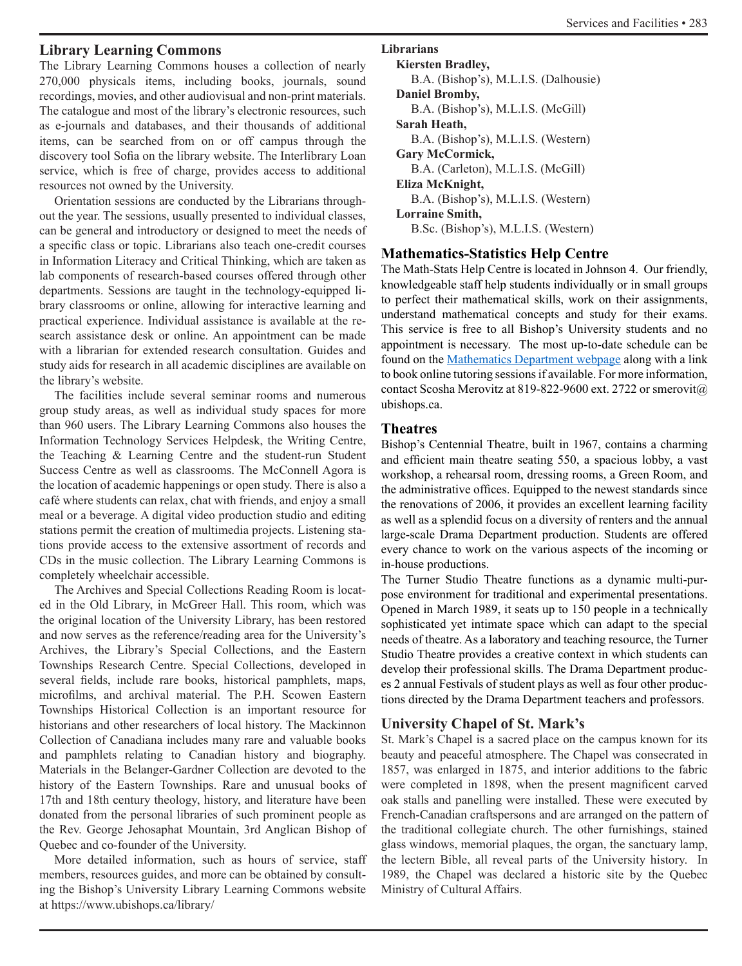# **Library Learning Commons**

The Library Learning Commons houses a collection of nearly 270,000 physicals items, including books, journals, sound recordings, movies, and other audiovisual and non-print materials. The catalogue and most of the library's electronic resources, such as e-journals and databases, and their thousands of additional items, can be searched from on or off campus through the discovery tool Sofia on the library website. The Interlibrary Loan service, which is free of charge, provides access to additional resources not owned by the University.

Orientation sessions are conducted by the Librarians throughout the year. The sessions, usually presented to individual classes, can be general and introductory or designed to meet the needs of a specific class or topic. Librarians also teach one-credit courses in Information Literacy and Critical Thinking, which are taken as lab components of research-based courses offered through other departments. Sessions are taught in the technology-equipped library classrooms or online, allowing for interactive learning and practical experience. Individual assistance is available at the research assistance desk or online. An appointment can be made with a librarian for extended research consultation. Guides and study aids for research in all academic disciplines are available on the library's website.

The facilities include several seminar rooms and numerous group study areas, as well as individual study spaces for more than 960 users. The Library Learning Commons also houses the Information Technology Services Helpdesk, the Writing Centre, the Teaching & Learning Centre and the student-run Student Success Centre as well as classrooms. The McConnell Agora is the location of academic happenings or open study. There is also a café where students can relax, chat with friends, and enjoy a small meal or a beverage. A digital video production studio and editing stations permit the creation of multimedia projects. Listening stations provide access to the extensive assortment of records and CDs in the music collection. The Library Learning Commons is completely wheelchair accessible.

The Archives and Special Collections Reading Room is located in the Old Library, in McGreer Hall. This room, which was the original location of the University Library, has been restored and now serves as the reference/reading area for the University's Archives, the Library's Special Collections, and the Eastern Townships Research Centre. Special Collections, developed in several fields, include rare books, historical pamphlets, maps, microfilms, and archival material. The P.H. Scowen Eastern Townships Historical Collection is an important resource for historians and other researchers of local history. The Mackinnon Collection of Canadiana includes many rare and valuable books and pamphlets relating to Canadian history and biography. Materials in the Belanger-Gardner Collection are devoted to the history of the Eastern Townships. Rare and unusual books of 17th and 18th century theology, history, and literature have been donated from the personal libraries of such prominent people as the Rev. George Jehosaphat Mountain, 3rd Anglican Bishop of Quebec and co-founder of the University.

More detailed information, such as hours of service, staff members, resources guides, and more can be obtained by consulting the Bishop's University Library Learning Commons website at https://www.ubishops.ca/library/

**Librarians**

```
Kiersten Bradley,
  B.A. (Bishop's), M.L.I.S. (Dalhousie)
Daniel Bromby,
   B.A. (Bishop's), M.L.I.S. (McGill)
Sarah Heath,
  B.A. (Bishop's), M.L.I.S. (Western)
Gary McCormick, 
  B.A. (Carleton), M.L.I.S. (McGill)
Eliza McKnight,
   B.A. (Bishop's), M.L.I.S. (Western)
Lorraine Smith, 
  B.Sc. (Bishop's), M.L.I.S. (Western)
```
# **Mathematics-Statistics Help Centre**

The Math-Stats Help Centre is located in Johnson 4. Our friendly, knowledgeable staff help students individually or in small groups to perfect their mathematical skills, work on their assignments, understand mathematical concepts and study for their exams. This service is free to all Bishop's University students and no appointment is necessary. The most up-to-date schedule can be found on the Mathematics Department webpage along with a link to book online tutoring sessions if available. For more information, contact Scosha Merovitz at 819-822-9600 ext. 2722 or smerovit@ ubishops.ca.

# **Theatres**

Bishop's Centennial Theatre, built in 1967, contains a charming and efficient main theatre seating 550, a spacious lobby, a vast workshop, a rehearsal room, dressing rooms, a Green Room, and the administrative offices. Equipped to the newest standards since the renovations of 2006, it provides an excellent learning facility as well as a splendid focus on a diversity of renters and the annual large-scale Drama Department production. Students are offered every chance to work on the various aspects of the incoming or in-house productions.

The Turner Studio Theatre functions as a dynamic multi-purpose environment for traditional and experimental presentations. Opened in March 1989, it seats up to 150 people in a technically sophisticated yet intimate space which can adapt to the special needs of theatre. As a laboratory and teaching resource, the Turner Studio Theatre provides a creative context in which students can develop their professional skills. The Drama Department produces 2 annual Festivals of student plays as well as four other productions directed by the Drama Department teachers and professors.

# **University Chapel of St. Mark's**

St. Mark's Chapel is a sacred place on the campus known for its beauty and peaceful atmosphere. The Chapel was consecrated in 1857, was enlarged in 1875, and interior additions to the fabric were completed in 1898, when the present magnificent carved oak stalls and panelling were installed. These were executed by French-Canadian craftspersons and are arranged on the pattern of the traditional collegiate church. The other furnishings, stained glass windows, memorial plaques, the organ, the sanctuary lamp, the lectern Bible, all reveal parts of the University history. In 1989, the Chapel was declared a historic site by the Quebec Ministry of Cultural Affairs.